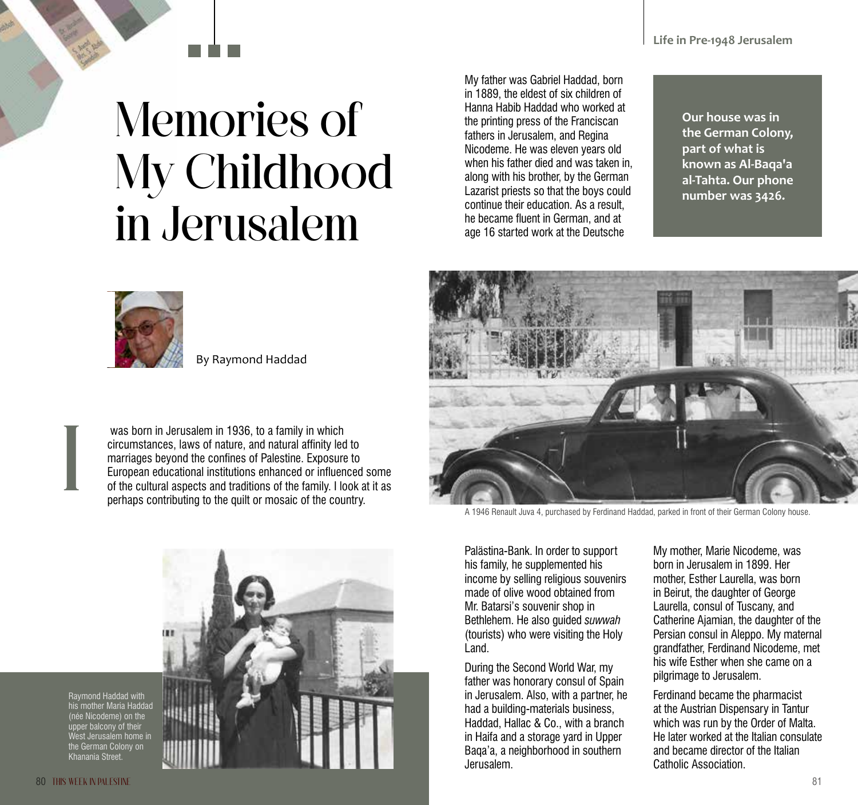## Memories of My Childhood in Jerusalem

My father was Gabriel Haddad, born in 1889, the eldest of six children of Hanna Habib Haddad who worked at the printing press of the Franciscan fathers in Jerusalem, and Regina Nicodeme. He was eleven years old when his father died and was taken in, along with his brother, by the German Lazarist priests so that the boys could continue their education. As a result, he became fluent in German, and at age 16 started work at the Deutsche

**Our house was in the German Colony, part of what is known as Al-Baqa'a al-Tahta. Our phone number was 3426.** 



By Raymond Haddad

 was born in Jerusalem in 1936, to a family in which circumstances, laws of nature, and natural affinity led to marriages beyond the confines of Palestine. Exposure to European educational institutions enhanced or influenced some of the cultural aspects and traditions of the family. I look at it as perhaps contributing to the quilt or mosaic of the country.



A 1946 Renault Juva 4, purchased by Ferdinand Haddad, parked in front of their German Colony house.

Palästina-Bank. In order to support his family, he supplemented his income by selling religious souvenirs made of olive wood obtained from Mr. Batarsi's souvenir shop in Bethlehem. He also guided *suwwah* (tourists) who were visiting the Holy Land.

During the Second World War, my father was honorary consul of Spain in Jerusalem. Also, with a partner, he had a building-materials business, Haddad, Hallac & Co., with a branch in Haifa and a storage yard in Upper Baqa'a, a neighborhood in southern Jerusalem.

My mother, Marie Nicodeme, was born in Jerusalem in 1899. Her mother, Esther Laurella, was born in Beirut, the daughter of George Laurella, consul of Tuscany, and Catherine Ajamian, the daughter of the Persian consul in Aleppo. My maternal grandfather, Ferdinand Nicodeme, met his wife Esther when she came on a pilgrimage to Jerusalem.

Ferdinand became the pharmacist at the Austrian Dispensary in Tantur which was run by the Order of Malta. He later worked at the Italian consulate and became director of the Italian Catholic Association.



I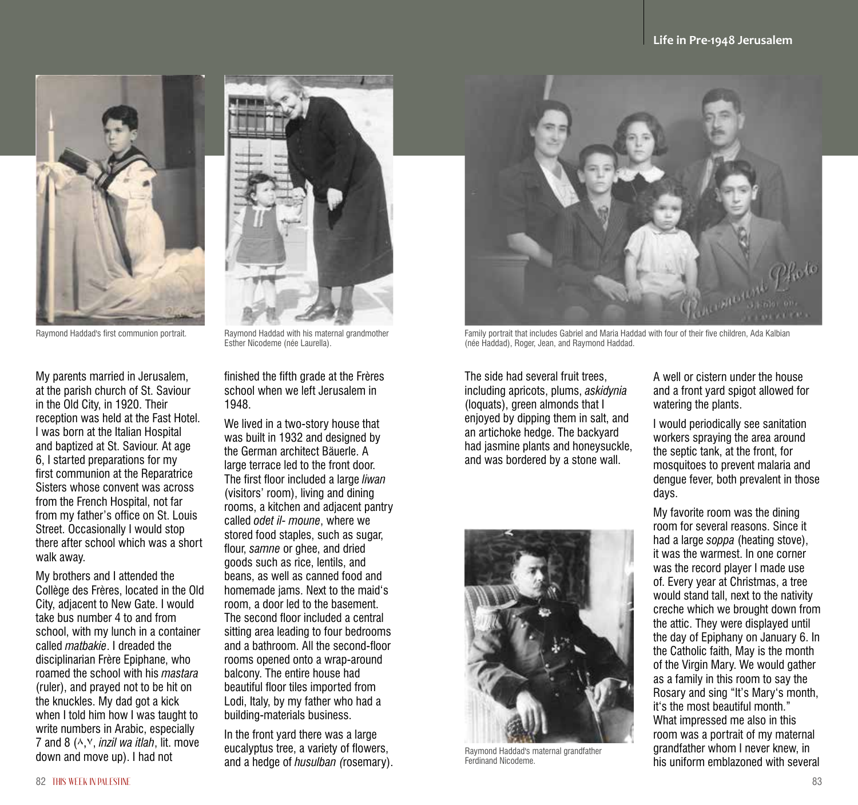

Raymond Haddad's first communion portrait.

My parents married in Jerusalem, at the parish church of St. Saviour in the Old City, in 1920. Their reception was held at the Fast Hotel. I was born at the Italian Hospital and baptized at St. Saviour. At age 6, I started preparations for my first communion at the Reparatrice Sisters whose convent was across from the French Hospital, not far from my father's office on St. Louis Street. Occasionally I would stop there after school which was a short walk away.

My brothers and I attended the Collège des Frères, located in the Old City, adjacent to New Gate. I would take bus number 4 to and from school, with my lunch in a container called *matbakie*. I dreaded the disciplinarian Frère Epiphane, who roamed the school with his *mastara* (ruler), and prayed not to be hit on the knuckles. My dad got a kick when I told him how I was taught to write numbers in Arabic, especially 7 and 8 (٨,٧, *inzil wa itlah*, lit. move down and move up). I had not



Raymond Haddad with his maternal grandmother Esther Nicodeme (née Laurella).

finished the fifth grade at the Frères school when we left Jerusalem in 1948.

We lived in a two-story house that was built in 1932 and designed by the German architect Bäuerle. A large terrace led to the front door. The first floor included a large *liwan* (visitors' room), living and dining rooms, a kitchen and adjacent pantry called *odet il- moune*, where we stored food staples, such as sugar, flour, *samne* or ghee, and dried goods such as rice, lentils, and beans, as well as canned food and homemade jams. Next to the maid's room, a door led to the basement. The second floor included a central sitting area leading to four bedrooms and a bathroom. All the second-floor rooms opened onto a wrap-around balcony. The entire house had beautiful floor tiles imported from Lodi, Italy, by my father who had a building-materials business.

In the front yard there was a large eucalyptus tree, a variety of flowers, and a hedge of *husulban (*rosemary).



Family portrait that includes Gabriel and Maria Haddad with four of their five children, Ada Kalbian (née Haddad), Roger, Jean, and Raymond Haddad.

The side had several fruit trees, including apricots, plums, *askidynia* (loquats), green almonds that I enjoyed by dipping them in salt, and an artichoke hedge. The backyard had jasmine plants and honeysuckle, and was bordered by a stone wall.



Raymond Haddad's maternal grandfather Ferdinand Nicodeme.

A well or cistern under the house and a front yard spigot allowed for watering the plants.

I would periodically see sanitation workers spraying the area around the septic tank, at the front, for mosquitoes to prevent malaria and dengue fever, both prevalent in those days.

My favorite room was the dining room for several reasons. Since it had a large *soppa* (heating stove), it was the warmest. In one corner was the record player I made use of. Every year at Christmas, a tree would stand tall, next to the nativity creche which we brought down from the attic. They were displayed until the day of Epiphany on January 6. In the Catholic faith, May is the month of the Virgin Mary. We would gather as a family in this room to say the Rosary and sing "It's Mary's month, it's the most beautiful month." What impressed me also in this room was a portrait of my maternal grandfather whom I never knew, in his uniform emblazoned with several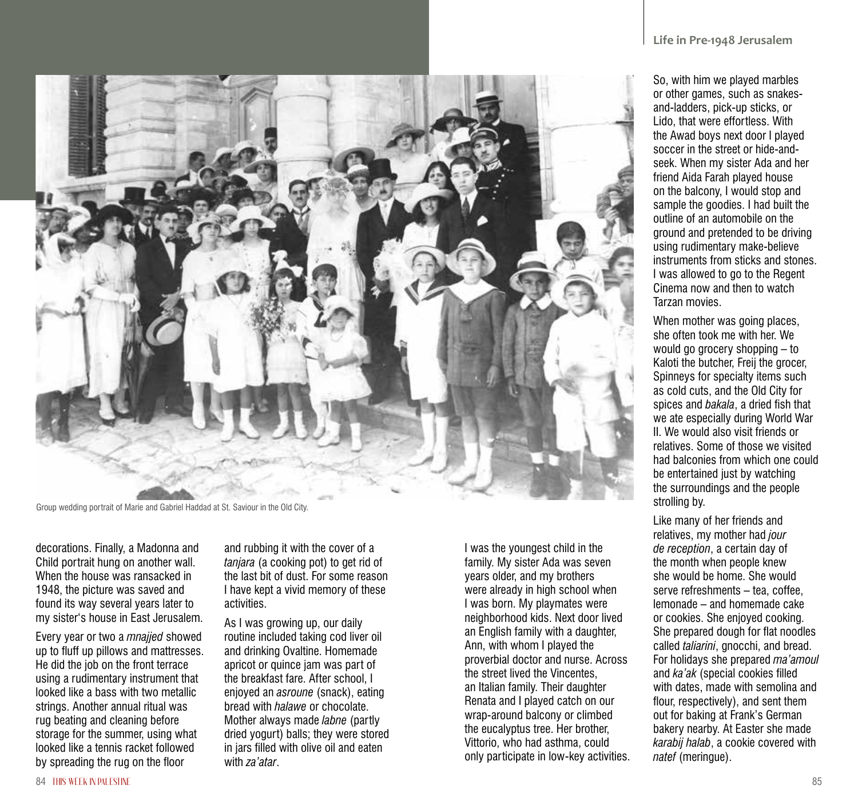

Group wedding portrait of Marie and Gabriel Haddad at St. Saviour in the Old City.

decorations. Finally, a Madonna and Child portrait hung on another wall. When the house was ransacked in 1948, the picture was saved and found its way several years later to my sister's house in East Jerusalem.

Every year or two a *mnajjed* showed up to fluff up pillows and mattresses. He did the job on the front terrace using a rudimentary instrument that looked like a bass with two metallic strings. Another annual ritual was rug beating and cleaning before storage for the summer, using what looked like a tennis racket followed by spreading the rug on the floor

and rubbing it with the cover of a *tanjara* (a cooking pot) to get rid of the last bit of dust. For some reason I have kept a vivid memory of these activities.

As I was growing up, our daily routine included taking cod liver oil and drinking Ovaltine. Homemade apricot or quince jam was part of the breakfast fare. After school, I enjoyed an *asroune* (snack), eating bread with *halawe* or chocolate. Mother always made *labne* (partly dried yogurt) balls; they were stored in jars filled with olive oil and eaten with *za'atar*.

I was the youngest child in the family. My sister Ada was seven years older, and my brothers were already in high school when I was born. My playmates were neighborhood kids. Next door lived an English family with a daughter, Ann, with whom I played the proverbial doctor and nurse. Across the street lived the Vincentes, an Italian family. Their daughter Renata and I played catch on our wrap-around balcony or climbed the eucalyptus tree. Her brother, Vittorio, who had asthma, could only participate in low-key activities.

So, with him we played marbles or other games, such as snakesand-ladders, pick-up sticks, or Lido, that were effortless. With the Awad boys next door I played soccer in the street or hide-andseek. When my sister Ada and her friend Aida Farah played house on the balcony, I would stop and sample the goodies. I had built the outline of an automobile on the ground and pretended to be driving using rudimentary make-believe instruments from sticks and stones. I was allowed to go to the Regent Cinema now and then to watch Tarzan movies.

When mother was going places, she often took me with her. We would go grocery shopping – to Kaloti the butcher, Freij the grocer, Spinneys for specialty items such as cold cuts, and the Old City for spices and *bakala*, a dried fish that we ate especially during World War II. We would also visit friends or relatives. Some of those we visited had balconies from which one could be entertained just by watching the surroundings and the people strolling by.

Like many of her friends and relatives, my mother had *jour de reception*, a certain day of the month when people knew she would be home. She would serve refreshments – tea, coffee, lemonade – and homemade cake or cookies. She enjoyed cooking. She prepared dough for flat noodles called *taliarini*, gnocchi, and bread. For holidays she prepared *ma'amoul* and *ka'ak* (special cookies filled with dates, made with semolina and flour, respectively), and sent them out for baking at Frank's German bakery nearby. At Easter she made *karabij halab*, a cookie covered with *natef* (meringue).